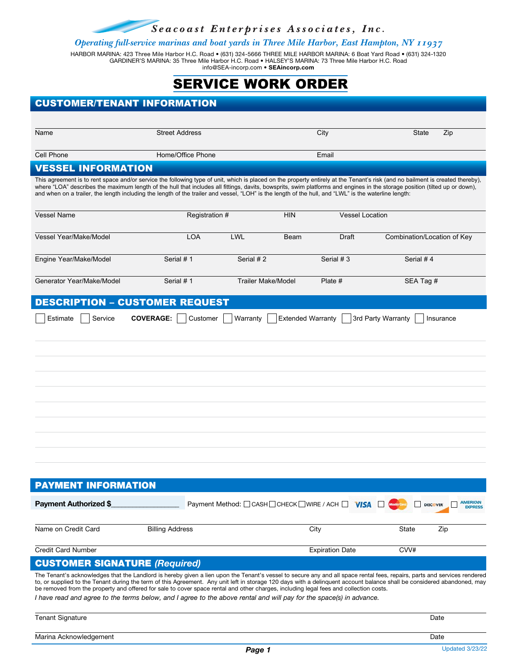Seacoast Enterprises Associates, Inc.

*Operating full-service marinas and boat yards in Three Mile Harbor, East Hampton, NY 11937*

HARBOR MARINA: 423 Three Mile Harbor H.C. Road • (631) 324-5666 THREE MILE HARBOR MARINA: 6 Boat Yard Road • (631) 324-1320 GARDINER'S MARINA: 35 Three Mile Harbor H.C. Road • HALSEY'S MARINA: 73 Three Mile Harbor H.C. Road info@SEA-incorp.com • **SEAincorp.com**

# SERVICE WORK ORDER

| <b>CUSTOMER/TENANT INFORMATION</b>                                                                                                                                                                                                                                                                                                                                                                                                                                                                                     |                              |                                            |                        |                                                      |  |  |
|------------------------------------------------------------------------------------------------------------------------------------------------------------------------------------------------------------------------------------------------------------------------------------------------------------------------------------------------------------------------------------------------------------------------------------------------------------------------------------------------------------------------|------------------------------|--------------------------------------------|------------------------|------------------------------------------------------|--|--|
|                                                                                                                                                                                                                                                                                                                                                                                                                                                                                                                        |                              |                                            |                        |                                                      |  |  |
| Name                                                                                                                                                                                                                                                                                                                                                                                                                                                                                                                   | <b>Street Address</b>        |                                            | City                   | State<br>Zip                                         |  |  |
|                                                                                                                                                                                                                                                                                                                                                                                                                                                                                                                        |                              |                                            |                        |                                                      |  |  |
| Cell Phone                                                                                                                                                                                                                                                                                                                                                                                                                                                                                                             | Home/Office Phone            |                                            | Email                  |                                                      |  |  |
| <b>VESSEL INFORMATION</b>                                                                                                                                                                                                                                                                                                                                                                                                                                                                                              |                              |                                            |                        |                                                      |  |  |
| This agreement is to rent space and/or service the following type of unit, which is placed on the property entirely at the Tenant's risk (and no bailment is created thereby).<br>where "LOA" describes the maximum length of the hull that includes all fittings, davits, bowsprits, swim platforms and engines in the storage position (tilted up or down),<br>and when on a trailer, the length including the length of the trailer and vessel, "LOH" is the length of the hull, and "LWL" is the waterline length: |                              |                                            |                        |                                                      |  |  |
| Vessel Name                                                                                                                                                                                                                                                                                                                                                                                                                                                                                                            | Registration #               | <b>HIN</b>                                 | <b>Vessel Location</b> |                                                      |  |  |
| <b>Vessel Year/Make/Model</b>                                                                                                                                                                                                                                                                                                                                                                                                                                                                                          | <b>LOA</b>                   | LWL<br>Beam                                | Draft                  | Combination/Location of Key                          |  |  |
| Engine Year/Make/Model                                                                                                                                                                                                                                                                                                                                                                                                                                                                                                 | Serial #1                    | Serial #2                                  | Serial #3              | Serial #4                                            |  |  |
| Generator Year/Make/Model                                                                                                                                                                                                                                                                                                                                                                                                                                                                                              | Serial #1                    | <b>Trailer Make/Model</b>                  | Plate #                | SEA Tag #                                            |  |  |
| <b>DESCRIPTION - CUSTOMER REQUEST</b>                                                                                                                                                                                                                                                                                                                                                                                                                                                                                  |                              |                                            |                        |                                                      |  |  |
| Estimate<br>Service                                                                                                                                                                                                                                                                                                                                                                                                                                                                                                    | <b>COVERAGE:</b><br>Customer | Warranty<br><b>Extended Warranty</b>       | 3rd Party Warranty     | Insurance                                            |  |  |
|                                                                                                                                                                                                                                                                                                                                                                                                                                                                                                                        |                              |                                            |                        |                                                      |  |  |
|                                                                                                                                                                                                                                                                                                                                                                                                                                                                                                                        |                              |                                            |                        |                                                      |  |  |
|                                                                                                                                                                                                                                                                                                                                                                                                                                                                                                                        |                              |                                            |                        |                                                      |  |  |
|                                                                                                                                                                                                                                                                                                                                                                                                                                                                                                                        |                              |                                            |                        |                                                      |  |  |
|                                                                                                                                                                                                                                                                                                                                                                                                                                                                                                                        |                              |                                            |                        |                                                      |  |  |
|                                                                                                                                                                                                                                                                                                                                                                                                                                                                                                                        |                              |                                            |                        |                                                      |  |  |
|                                                                                                                                                                                                                                                                                                                                                                                                                                                                                                                        |                              |                                            |                        |                                                      |  |  |
|                                                                                                                                                                                                                                                                                                                                                                                                                                                                                                                        |                              |                                            |                        |                                                      |  |  |
|                                                                                                                                                                                                                                                                                                                                                                                                                                                                                                                        |                              |                                            |                        |                                                      |  |  |
|                                                                                                                                                                                                                                                                                                                                                                                                                                                                                                                        |                              |                                            |                        |                                                      |  |  |
|                                                                                                                                                                                                                                                                                                                                                                                                                                                                                                                        |                              |                                            |                        |                                                      |  |  |
|                                                                                                                                                                                                                                                                                                                                                                                                                                                                                                                        |                              |                                            |                        |                                                      |  |  |
| <b>PAYMENT INFORMATION</b>                                                                                                                                                                                                                                                                                                                                                                                                                                                                                             |                              |                                            |                        |                                                      |  |  |
| <b>Payment Authorized \$</b>                                                                                                                                                                                                                                                                                                                                                                                                                                                                                           |                              | Payment Method: CASH CHECK WIRE / ACH NISA |                        | <b>AMERICAN</b><br><b>DISCOVER</b><br><b>EXPRESS</b> |  |  |
|                                                                                                                                                                                                                                                                                                                                                                                                                                                                                                                        |                              |                                            |                        |                                                      |  |  |
| Name on Credit Card                                                                                                                                                                                                                                                                                                                                                                                                                                                                                                    | <b>Billing Address</b>       |                                            | City                   | Zip<br>State                                         |  |  |
| <b>Credit Card Number</b>                                                                                                                                                                                                                                                                                                                                                                                                                                                                                              |                              |                                            | <b>Expiration Date</b> | CVV#                                                 |  |  |
| <b>CUSTOMER SIGNATURE (Required)</b>                                                                                                                                                                                                                                                                                                                                                                                                                                                                                   |                              |                                            |                        |                                                      |  |  |
| The Tenant's acknowledges that the Landlord is hereby given a lien upon the Tenant's vessel to secure any and all space rental fees, repairs, parts and services rendered<br>to ar supplied to the Tenant during the term of this Agreement. Any unit left in storage 120 days with a delinguent account belance shall be considered abandoned, may                                                                                                                                                                    |                              |                                            |                        |                                                      |  |  |

to, or supplied to the Tenant during the term of this Agreement. Any unit left in storage 120 days with a delinquent account balance shall be considered abandoned, may be removed from the property and offered for sale to cover space rental and other charges, including legal fees and collection costs.

*I have read and agree to the terms below, and I agree to the above rental and will pay for the space(s) in advance.* 

Tenant Signature Date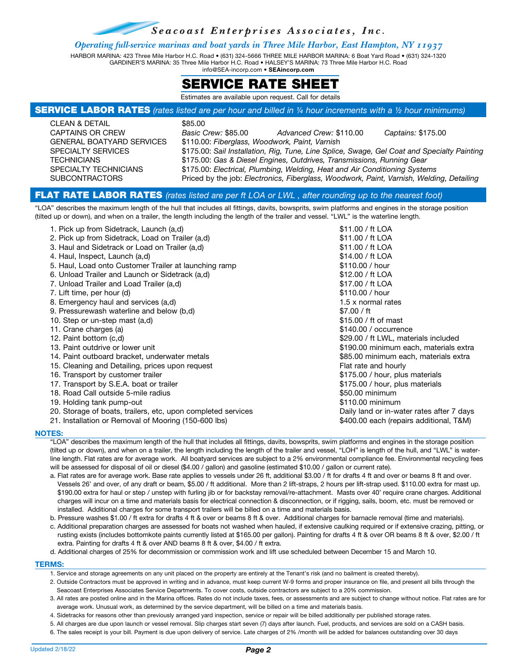Seacoast Enterprises Associates, Inc.

### *Operating full-service marinas and boat yards in Three Mile Harbor, East Hampton, NY 11937*

HARBOR MARINA: 423 Three Mile Harbor H.C. Road • (631) 324-5666 THREE MILE HARBOR MARINA: 6 Boat Yard Road • (631) 324-1320 GARDINER'S MARINA: 35 Three Mile Harbor H.C. Road • HALSEY'S MARINA: 73 Three Mile Harbor H.C. Road info@SEA-incorp.com • **SEAincorp.com**



Estimates are available upon request. Call for details

#### SERVICE LABOR RATES *(rates listed are per hour and billed in ¼ hour increments with a ½ hour minimums)*

| CLEAN & DETAIL                   | \$85.00                                                                                     |  |
|----------------------------------|---------------------------------------------------------------------------------------------|--|
| CAPTAINS OR CREW                 | Basic Crew: \$85.00<br>Captains: \$175.00<br>Advanced Crew: \$110.00                        |  |
| <b>GENERAL BOATYARD SERVICES</b> | \$110.00: Fiberglass, Woodwork, Paint, Varnish                                              |  |
| <b>SPECIALTY SERVICES</b>        | \$175.00: Sail Installation, Rig, Tune, Line Splice, Swage, Gel Coat and Specialty Painting |  |
| <b>TECHNICIANS</b>               | \$175.00: Gas & Diesel Engines, Outdrives, Transmissions, Running Gear                      |  |
| <b>SPECIALTY TECHNICIANS</b>     | \$175.00: Electrical, Plumbing, Welding, Heat and Air Conditioning Systems                  |  |
| <b>SUBCONTRACTORS</b>            | Priced by the job: Electronics, Fiberglass, Woodwork, Paint, Varnish, Welding, Detailing    |  |
|                                  |                                                                                             |  |

## FLAT RATE LABOR RATES *(rates listed are per ft LOA or LWL , after rounding up to the nearest foot)*

"LOA" describes the maximum length of the hull that includes all fittings, davits, bowsprits, swim platforms and engines in the storage position (tilted up or down), and when on a trailer, the length including the length of the trailer and vessel. "LWL" is the waterline length.

| 1. Pick up from Sidetrack, Launch (a,d)                      | \$11.00 / ft LOA                          |
|--------------------------------------------------------------|-------------------------------------------|
| 2. Pick up from Sidetrack, Load on Trailer (a,d)             | \$11.00 / ft LOA                          |
| 3. Haul and Sidetrack or Load on Trailer (a,d)               | \$11.00 / ft LOA                          |
| 4. Haul, Inspect, Launch (a,d)                               | \$14.00 / ft LOA                          |
| 5. Haul, Load onto Customer Trailer at launching ramp        | \$110.00 / hour                           |
| 6. Unload Trailer and Launch or Sidetrack (a,d)              | \$12.00 / ft LOA                          |
| 7. Unload Trailer and Load Trailer (a,d)                     | \$17.00 / ft LOA                          |
| 7. Lift time, per hour (d)                                   | \$110,00 / hour                           |
| 8. Emergency haul and services (a,d)                         | 1.5 x normal rates                        |
| 9. Pressurewash waterline and below (b,d)                    | \$7.00 / ft                               |
| 10. Step or un-step mast (a,d)                               | \$15.00 / ft of mast                      |
| 11. Crane charges (a)                                        | \$140.00 / occurrence                     |
| 12. Paint bottom (c,d)                                       | \$29.00 / ft LWL, materials included      |
| 13. Paint outdrive or lower unit                             | \$190.00 minimum each, materials extra    |
| 14. Paint outboard bracket, underwater metals                | \$85.00 minimum each, materials extra     |
| 15. Cleaning and Detailing, prices upon request              | Flat rate and hourly                      |
| 16. Transport by customer trailer                            | \$175.00 / hour, plus materials           |
| 17. Transport by S.E.A. boat or trailer                      | \$175.00 / hour, plus materials           |
| 18. Road Call outside 5-mile radius                          | \$50.00 minimum                           |
| 19. Holding tank pump-out                                    | \$110.00 minimum                          |
| 20. Storage of boats, trailers, etc, upon completed services | Daily land or in-water rates after 7 days |
| 21. Installation or Removal of Mooring (150-600 lbs)         | \$400.00 each (repairs additional, T&M)   |

#### **NOTES:**

"LOA" describes the maximum length of the hull that includes all fittings, davits, bowsprits, swim platforms and engines in the storage position (tilted up or down), and when on a trailer, the length including the length of the trailer and vessel, "LOH" is length of the hull, and "LWL" is waterline length. Flat rates are for average work. All boatyard services are subject to a 2% environmental compliance fee. Environmental recycling fees will be assessed for disposal of oil or diesel (\$4.00 / gallon) and gasoline (estimated \$10.00 / gallon or current rate).

- a. Flat rates are for average work. Base rate applies to vessels under 26 ft, additional \$3.00 / ft for drafts 4 ft and over or beams 8 ft and over. Vessels 26' and over, of any draft or beam, \$5.00 / ft additional. More than 2 lift-straps, 2 hours per lift-strap used. \$110.00 extra for mast up. \$190.00 extra for haul or step / unstep with furling jib or for backstay removal/re-attachment. Masts over 40' require crane charges. Additional charges will incur on a time and materials basis for electrical connection & disconnection, or if rigging, sails, boom, etc. must be removed or installed. Additional charges for some transport trailers will be billed on a time and materials basis.
- b. Pressure washes \$1.00 / ft extra for drafts 4 ft & over or beams 8 ft & over. Additional charges for barnacle removal (time and materials).
- c. Additional preparation charges are assessed for boats not washed when hauled, if extensive caulking required or if extensive crazing, pitting, or rusting exists (includes bottomkote paints currently listed at \$165.00 per gallon). Painting for drafts 4 ft & over OR beams 8 ft & over, \$2.00 / ft extra. Painting for drafts 4 ft & over AND beams 8 ft & over, \$4.00 / ft extra.
- d. Additional charges of 25% for decommission or commission work and lift use scheduled between December 15 and March 10.

#### **TERMS:**

- 1. Service and storage agreements on any unit placed on the property are entirely at the Tenant's risk (and no bailment is created thereby).
- 2. Outside Contractors must be approved in writing and in advance, must keep current W-9 forms and proper insurance on file, and present all bills through the Seacoast Enterprises Associates Service Departments. To cover costs, outside contractors are subject to a 20% commission.
- 3. All rates are posted online and in the Marina offices. Rates do not include taxes, fees, or assessments and are subject to change without notice. Flat rates are for average work. Unusual work, as determined by the service department, will be billed on a time and materials basis.
- 4. Sidetracks for reasons other than previously arranged yard inspection, service or repair will be billed additionally per published storage rates.
- 5. All charges are due upon launch or vessel removal. Slip charges start seven (7) days after launch. Fuel, products, and services are sold on a CASH basis.
- 6. The sales receipt is your bill. Payment is due upon delivery of service. Late charges of 2% /month will be added for balances outstanding over 30 days